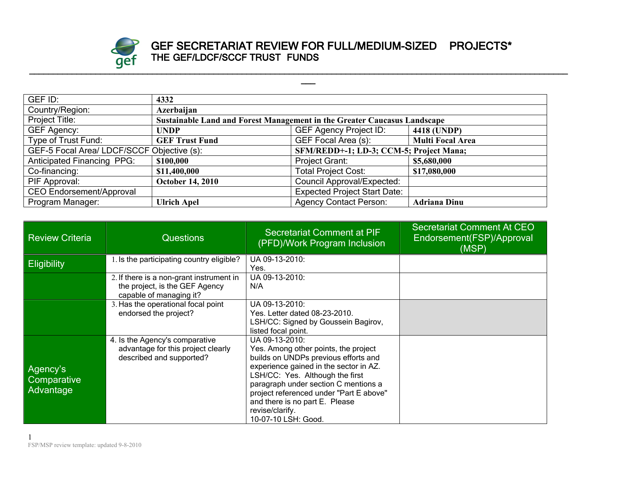

## **GEF SECRETARIAT REVIEW FOR FULL/MEDIUM-SIZED PROJECTS\* THE GEF/LDCF/SCCF TRUST FUNDS**

**\_\_\_**

| GEF ID:                                                                               | 4332                                                                     |                                     |                         |
|---------------------------------------------------------------------------------------|--------------------------------------------------------------------------|-------------------------------------|-------------------------|
| Country/Region:                                                                       | Azerbaijan                                                               |                                     |                         |
| Project Title:                                                                        | Sustainable Land and Forest Management in the Greater Caucasus Landscape |                                     |                         |
| GEF Agency:                                                                           | <b>UNDP</b>                                                              | <b>GEF Agency Project ID:</b>       | 4418 (UNDP)             |
| Type of Trust Fund:                                                                   | <b>GEF Trust Fund</b>                                                    | GEF Focal Area (s):                 | <b>Multi Focal Area</b> |
| GEF-5 Focal Area/ LDCF/SCCF Objective (s):<br>SFM/REDD+-1; LD-3; CCM-5; Project Mana; |                                                                          |                                     |                         |
| <b>Anticipated Financing PPG:</b>                                                     | \$100,000                                                                | Project Grant:                      | \$5,680,000             |
| Co-financing:                                                                         | \$11,400,000                                                             | <b>Total Project Cost:</b>          | \$17,080,000            |
| PIF Approval:                                                                         | <b>October 14, 2010</b>                                                  | <b>Council Approval/Expected:</b>   |                         |
| <b>CEO Endorsement/Approval</b>                                                       |                                                                          | <b>Expected Project Start Date:</b> |                         |
| Program Manager:                                                                      | <b>Ulrich Apel</b>                                                       | <b>Agency Contact Person:</b>       | <b>Adriana Dinu</b>     |

| <b>Review Criteria</b>               | <b>Questions</b>                                                                                      | Secretariat Comment at PIF<br>(PFD)/Work Program Inclusion                                                                                                                                                                                                                                                                                 | <b>Secretariat Comment At CEO</b><br>Endorsement(FSP)/Approval<br>(MSP) |
|--------------------------------------|-------------------------------------------------------------------------------------------------------|--------------------------------------------------------------------------------------------------------------------------------------------------------------------------------------------------------------------------------------------------------------------------------------------------------------------------------------------|-------------------------------------------------------------------------|
| <b>Eligibility</b>                   | 1. Is the participating country eligible?                                                             | UA 09-13-2010:<br>Yes.                                                                                                                                                                                                                                                                                                                     |                                                                         |
|                                      | 2. If there is a non-grant instrument in<br>the project, is the GEF Agency<br>capable of managing it? | UA 09-13-2010:<br>N/A                                                                                                                                                                                                                                                                                                                      |                                                                         |
|                                      | 3. Has the operational focal point<br>endorsed the project?                                           | UA 09-13-2010:<br>Yes. Letter dated 08-23-2010.<br>LSH/CC: Signed by Goussein Bagirov,<br>listed focal point.                                                                                                                                                                                                                              |                                                                         |
| Agency's<br>Comparative<br>Advantage | 4. Is the Agency's comparative<br>advantage for this project clearly<br>described and supported?      | UA 09-13-2010:<br>Yes. Among other points, the project<br>builds on UNDPs previous efforts and<br>experience gained in the sector in AZ.<br>LSH/CC: Yes. Although the first<br>paragraph under section C mentions a<br>project referenced under "Part E above"<br>and there is no part E. Please<br>revise/clarify.<br>10-07-10 LSH: Good. |                                                                         |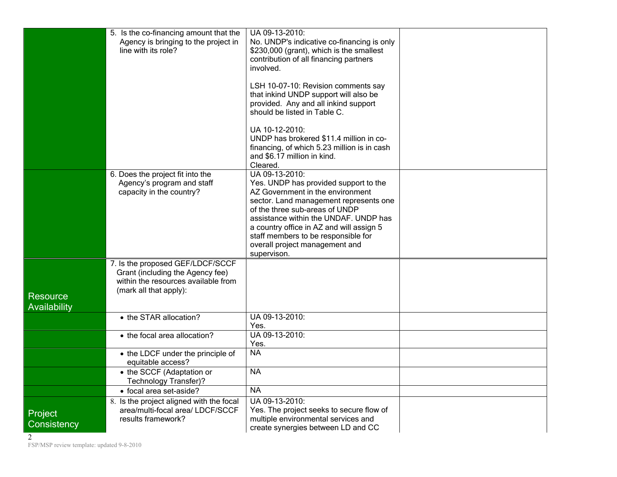|                          | 5. Is the co-financing amount that the<br>Agency is bringing to the project in<br>line with its role?                                 | UA 09-13-2010:<br>No. UNDP's indicative co-financing is only<br>\$230,000 (grant), which is the smallest<br>contribution of all financing partners<br>involved.<br>LSH 10-07-10: Revision comments say<br>that inkind UNDP support will also be<br>provided. Any and all inkind support<br>should be listed in Table C.<br>UA 10-12-2010:<br>UNDP has brokered \$11.4 million in co-<br>financing, of which 5.23 million is in cash<br>and \$6.17 million in kind.<br>Cleared. |  |
|--------------------------|---------------------------------------------------------------------------------------------------------------------------------------|--------------------------------------------------------------------------------------------------------------------------------------------------------------------------------------------------------------------------------------------------------------------------------------------------------------------------------------------------------------------------------------------------------------------------------------------------------------------------------|--|
|                          | 6. Does the project fit into the<br>Agency's program and staff<br>capacity in the country?                                            | UA 09-13-2010:<br>Yes. UNDP has provided support to the<br>AZ Government in the environment<br>sector. Land management represents one<br>of the three sub-areas of UNDP<br>assistance within the UNDAF. UNDP has<br>a country office in AZ and will assign 5<br>staff members to be responsible for<br>overall project management and<br>supervison.                                                                                                                           |  |
| Resource<br>Availability | 7. Is the proposed GEF/LDCF/SCCF<br>Grant (including the Agency fee)<br>within the resources available from<br>(mark all that apply): |                                                                                                                                                                                                                                                                                                                                                                                                                                                                                |  |
|                          | • the STAR allocation?                                                                                                                | UA 09-13-2010:<br>Yes.                                                                                                                                                                                                                                                                                                                                                                                                                                                         |  |
|                          | • the focal area allocation?                                                                                                          | UA 09-13-2010:<br>Yes.                                                                                                                                                                                                                                                                                                                                                                                                                                                         |  |
|                          | • the LDCF under the principle of<br>equitable access?                                                                                | <b>NA</b>                                                                                                                                                                                                                                                                                                                                                                                                                                                                      |  |
|                          | • the SCCF (Adaptation or<br>Technology Transfer)?                                                                                    | <b>NA</b>                                                                                                                                                                                                                                                                                                                                                                                                                                                                      |  |
|                          | · focal area set-aside?                                                                                                               | <b>NA</b>                                                                                                                                                                                                                                                                                                                                                                                                                                                                      |  |
| Project<br>Consistency   | 8. Is the project aligned with the focal<br>area/multi-focal area/ LDCF/SCCF<br>results framework?                                    | UA 09-13-2010:<br>Yes. The project seeks to secure flow of<br>multiple environmental services and<br>create synergies between LD and CC                                                                                                                                                                                                                                                                                                                                        |  |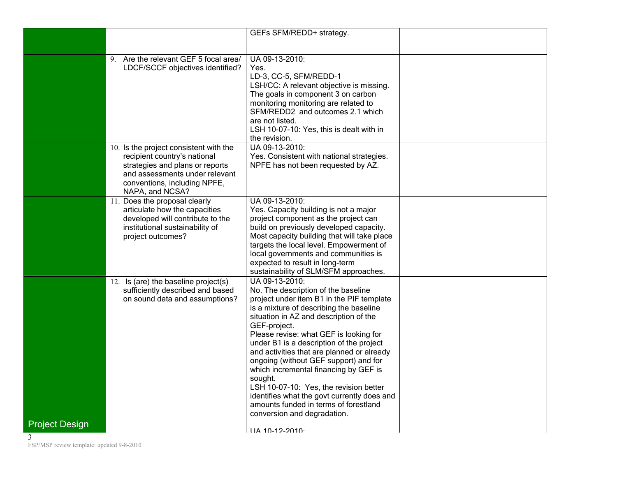|                                        | GEFs SFM/REDD+ strategy.                                                       |  |
|----------------------------------------|--------------------------------------------------------------------------------|--|
|                                        |                                                                                |  |
|                                        |                                                                                |  |
| 9. Are the relevant GEF 5 focal area/  | UA 09-13-2010:                                                                 |  |
| LDCF/SCCF objectives identified?       | Yes.                                                                           |  |
|                                        | LD-3, CC-5, SFM/REDD-1                                                         |  |
|                                        | LSH/CC: A relevant objective is missing.                                       |  |
|                                        | The goals in component 3 on carbon                                             |  |
|                                        | monitoring monitoring are related to                                           |  |
|                                        | SFM/REDD2 and outcomes 2.1 which                                               |  |
|                                        | are not listed.                                                                |  |
|                                        | LSH 10-07-10: Yes, this is dealt with in                                       |  |
|                                        | the revision.                                                                  |  |
| 10. Is the project consistent with the | UA 09-13-2010:                                                                 |  |
| recipient country's national           | Yes. Consistent with national strategies.                                      |  |
| strategies and plans or reports        | NPFE has not been requested by AZ.                                             |  |
| and assessments under relevant         |                                                                                |  |
| conventions, including NPFE,           |                                                                                |  |
| NAPA, and NCSA?                        |                                                                                |  |
| 11. Does the proposal clearly          | UA 09-13-2010:                                                                 |  |
| articulate how the capacities          | Yes. Capacity building is not a major                                          |  |
| developed will contribute to the       | project component as the project can                                           |  |
| institutional sustainability of        | build on previously developed capacity.                                        |  |
| project outcomes?                      | Most capacity building that will take place                                    |  |
|                                        | targets the local level. Empowerment of                                        |  |
|                                        | local governments and communities is                                           |  |
|                                        | expected to result in long-term                                                |  |
|                                        | sustainability of SLM/SFM approaches.                                          |  |
| 12. Is (are) the baseline project(s)   | UA 09-13-2010:                                                                 |  |
| sufficiently described and based       | No. The description of the baseline                                            |  |
| on sound data and assumptions?         | project under item B1 in the PIF template                                      |  |
|                                        | is a mixture of describing the baseline                                        |  |
|                                        | situation in AZ and description of the                                         |  |
|                                        | GEF-project.                                                                   |  |
|                                        | Please revise: what GEF is looking for                                         |  |
|                                        | under B1 is a description of the project                                       |  |
|                                        | and activities that are planned or already                                     |  |
|                                        | ongoing (without GEF support) and for<br>which incremental financing by GEF is |  |
|                                        |                                                                                |  |
|                                        | sought.<br>LSH 10-07-10: Yes, the revision better                              |  |
|                                        | identifies what the govt currently does and                                    |  |
|                                        | amounts funded in terms of forestland                                          |  |
|                                        | conversion and degradation.                                                    |  |
| <b>Project Design</b>                  |                                                                                |  |
|                                        | 114 10-12-2010·                                                                |  |

FSP/MSP review template: updated 9-8-2010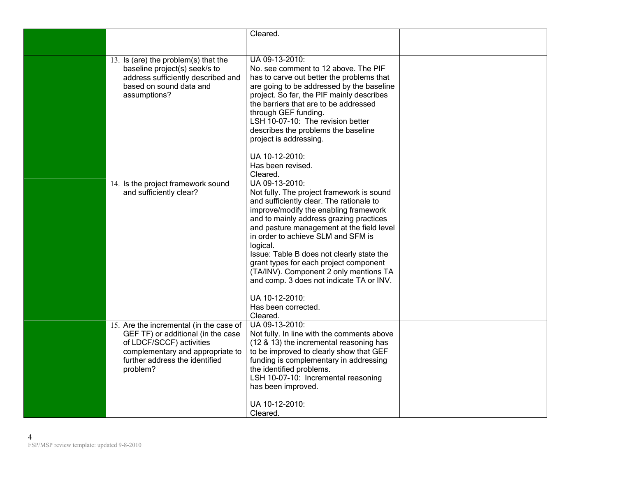|                                                                                                                                                                                             | Cleared.                                                                                                                                                                                                                                                                                                                                                                                                                                                                                                                     |  |
|---------------------------------------------------------------------------------------------------------------------------------------------------------------------------------------------|------------------------------------------------------------------------------------------------------------------------------------------------------------------------------------------------------------------------------------------------------------------------------------------------------------------------------------------------------------------------------------------------------------------------------------------------------------------------------------------------------------------------------|--|
| 13. Is (are) the problem(s) that the<br>baseline project(s) seek/s to<br>address sufficiently described and<br>based on sound data and<br>assumptions?                                      | UA 09-13-2010:<br>No. see comment to 12 above. The PIF<br>has to carve out better the problems that<br>are going to be addressed by the baseline<br>project. So far, the PIF mainly describes<br>the barriers that are to be addressed<br>through GEF funding.<br>LSH 10-07-10: The revision better<br>describes the problems the baseline<br>project is addressing.<br>UA 10-12-2010:<br>Has been revised.<br>Cleared.                                                                                                      |  |
| 14. Is the project framework sound<br>and sufficiently clear?                                                                                                                               | UA 09-13-2010:<br>Not fully. The project framework is sound<br>and sufficiently clear. The rationale to<br>improve/modify the enabling framework<br>and to mainly address grazing practices<br>and pasture management at the field level<br>in order to achieve SLM and SFM is<br>logical.<br>Issue: Table B does not clearly state the<br>grant types for each project component<br>(TA/INV). Component 2 only mentions TA<br>and comp. 3 does not indicate TA or INV.<br>UA 10-12-2010:<br>Has been corrected.<br>Cleared. |  |
| 15. Are the incremental (in the case of<br>GEF TF) or additional (in the case<br>of LDCF/SCCF) activities<br>complementary and appropriate to<br>further address the identified<br>problem? | UA 09-13-2010:<br>Not fully. In line with the comments above<br>(12 & 13) the incremental reasoning has<br>to be improved to clearly show that GEF<br>funding is complementary in addressing<br>the identified problems.<br>LSH 10-07-10: Incremental reasoning<br>has been improved.<br>UA 10-12-2010:<br>Cleared.                                                                                                                                                                                                          |  |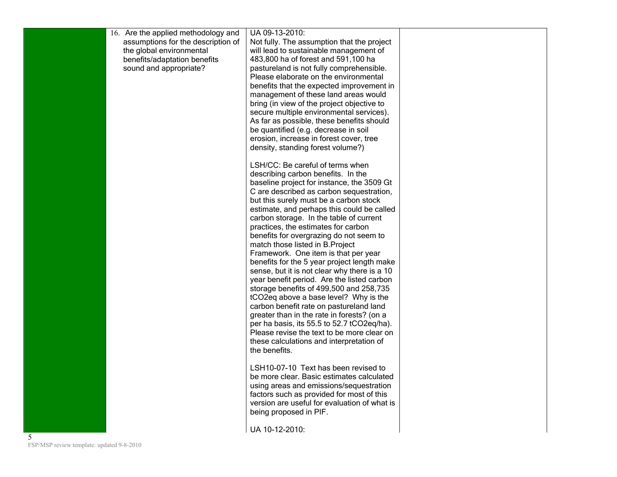|  | 16. Are the applied methodology and<br>assumptions for the description of | UA 09-13-2010:<br>Not fully. The assumption that the project                              |  |
|--|---------------------------------------------------------------------------|-------------------------------------------------------------------------------------------|--|
|  | the global environmental                                                  | will lead to sustainable management of                                                    |  |
|  | benefits/adaptation benefits                                              | 483,800 ha of forest and 591,100 ha                                                       |  |
|  | sound and appropriate?                                                    | pastureland is not fully comprehensible.                                                  |  |
|  |                                                                           | Please elaborate on the environmental                                                     |  |
|  |                                                                           | benefits that the expected improvement in<br>management of these land areas would         |  |
|  |                                                                           | bring (in view of the project objective to                                                |  |
|  |                                                                           | secure multiple environmental services).                                                  |  |
|  |                                                                           | As far as possible, these benefits should                                                 |  |
|  |                                                                           | be quantified (e.g. decrease in soil                                                      |  |
|  |                                                                           | erosion, increase in forest cover, tree<br>density, standing forest volume?)              |  |
|  |                                                                           |                                                                                           |  |
|  |                                                                           | LSH/CC: Be careful of terms when                                                          |  |
|  |                                                                           | describing carbon benefits. In the                                                        |  |
|  |                                                                           | baseline project for instance, the 3509 Gt<br>C are described as carbon sequestration,    |  |
|  |                                                                           | but this surely must be a carbon stock                                                    |  |
|  |                                                                           | estimate, and perhaps this could be called                                                |  |
|  |                                                                           | carbon storage. In the table of current                                                   |  |
|  |                                                                           | practices, the estimates for carbon                                                       |  |
|  |                                                                           | benefits for overgrazing do not seem to                                                   |  |
|  |                                                                           | match those listed in B. Project<br>Framework. One item is that per year                  |  |
|  |                                                                           | benefits for the 5 year project length make                                               |  |
|  |                                                                           | sense, but it is not clear why there is a 10                                              |  |
|  |                                                                           | year benefit period. Are the listed carbon                                                |  |
|  |                                                                           | storage benefits of 499,500 and 258,735                                                   |  |
|  |                                                                           | tCO2eq above a base level? Why is the<br>carbon benefit rate on pastureland land          |  |
|  |                                                                           | greater than in the rate in forests? (on a                                                |  |
|  |                                                                           | per ha basis, its 55.5 to 52.7 tCO2eq/ha).                                                |  |
|  |                                                                           | Please revise the text to be more clear on                                                |  |
|  |                                                                           | these calculations and interpretation of                                                  |  |
|  |                                                                           | the benefits.                                                                             |  |
|  |                                                                           | LSH10-07-10 Text has been revised to                                                      |  |
|  |                                                                           | be more clear. Basic estimates calculated                                                 |  |
|  |                                                                           | using areas and emissions/sequestration                                                   |  |
|  |                                                                           | factors such as provided for most of this<br>version are useful for evaluation of what is |  |
|  |                                                                           | being proposed in PIF.                                                                    |  |
|  |                                                                           |                                                                                           |  |
|  |                                                                           | UA 10-12-2010:                                                                            |  |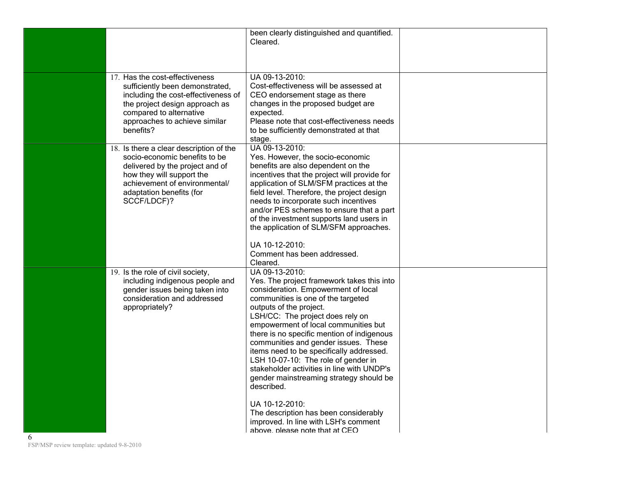| Cleared.<br>UA 09-13-2010:<br>17. Has the cost-effectiveness<br>Cost-effectiveness will be assessed at<br>sufficiently been demonstrated,<br>CEO endorsement stage as there<br>including the cost-effectiveness of<br>changes in the proposed budget are<br>the project design approach as<br>compared to alternative<br>expected.<br>approaches to achieve similar<br>Please note that cost-effectiveness needs<br>benefits?<br>to be sufficiently demonstrated at that<br>stage.<br>UA 09-13-2010:<br>18. Is there a clear description of the<br>socio-economic benefits to be<br>Yes. However, the socio-economic<br>delivered by the project and of<br>benefits are also dependent on the<br>how they will support the<br>incentives that the project will provide for<br>achievement of environmental/<br>application of SLM/SFM practices at the<br>adaptation benefits (for<br>field level. Therefore, the project design<br>SCCF/LDCF)?<br>needs to incorporate such incentives<br>and/or PES schemes to ensure that a part<br>of the investment supports land users in<br>the application of SLM/SFM approaches.<br>UA 10-12-2010:<br>Comment has been addressed.<br>Cleared.<br>UA 09-13-2010:<br>19. Is the role of civil society,<br>including indigenous people and<br>Yes. The project framework takes this into<br>gender issues being taken into<br>consideration. Empowerment of local<br>consideration and addressed<br>communities is one of the targeted<br>outputs of the project.<br>appropriately?<br>LSH/CC: The project does rely on<br>empowerment of local communities but<br>there is no specific mention of indigenous<br>communities and gender issues. These<br>items need to be specifically addressed.<br>LSH 10-07-10: The role of gender in<br>stakeholder activities in line with UNDP's<br>gender mainstreaming strategy should be<br>described.<br>UA 10-12-2010:<br>The description has been considerably<br>improved. In line with LSH's comment<br>above please note that at CEO |   | been clearly distinguished and quantified. |  |
|---------------------------------------------------------------------------------------------------------------------------------------------------------------------------------------------------------------------------------------------------------------------------------------------------------------------------------------------------------------------------------------------------------------------------------------------------------------------------------------------------------------------------------------------------------------------------------------------------------------------------------------------------------------------------------------------------------------------------------------------------------------------------------------------------------------------------------------------------------------------------------------------------------------------------------------------------------------------------------------------------------------------------------------------------------------------------------------------------------------------------------------------------------------------------------------------------------------------------------------------------------------------------------------------------------------------------------------------------------------------------------------------------------------------------------------------------------------------------------------------------------------------------------------------------------------------------------------------------------------------------------------------------------------------------------------------------------------------------------------------------------------------------------------------------------------------------------------------------------------------------------------------------------------------------------------------------------------------------------------------------------------------------|---|--------------------------------------------|--|
|                                                                                                                                                                                                                                                                                                                                                                                                                                                                                                                                                                                                                                                                                                                                                                                                                                                                                                                                                                                                                                                                                                                                                                                                                                                                                                                                                                                                                                                                                                                                                                                                                                                                                                                                                                                                                                                                                                                                                                                                                           |   |                                            |  |
|                                                                                                                                                                                                                                                                                                                                                                                                                                                                                                                                                                                                                                                                                                                                                                                                                                                                                                                                                                                                                                                                                                                                                                                                                                                                                                                                                                                                                                                                                                                                                                                                                                                                                                                                                                                                                                                                                                                                                                                                                           |   |                                            |  |
|                                                                                                                                                                                                                                                                                                                                                                                                                                                                                                                                                                                                                                                                                                                                                                                                                                                                                                                                                                                                                                                                                                                                                                                                                                                                                                                                                                                                                                                                                                                                                                                                                                                                                                                                                                                                                                                                                                                                                                                                                           |   |                                            |  |
|                                                                                                                                                                                                                                                                                                                                                                                                                                                                                                                                                                                                                                                                                                                                                                                                                                                                                                                                                                                                                                                                                                                                                                                                                                                                                                                                                                                                                                                                                                                                                                                                                                                                                                                                                                                                                                                                                                                                                                                                                           |   |                                            |  |
|                                                                                                                                                                                                                                                                                                                                                                                                                                                                                                                                                                                                                                                                                                                                                                                                                                                                                                                                                                                                                                                                                                                                                                                                                                                                                                                                                                                                                                                                                                                                                                                                                                                                                                                                                                                                                                                                                                                                                                                                                           | 6 |                                            |  |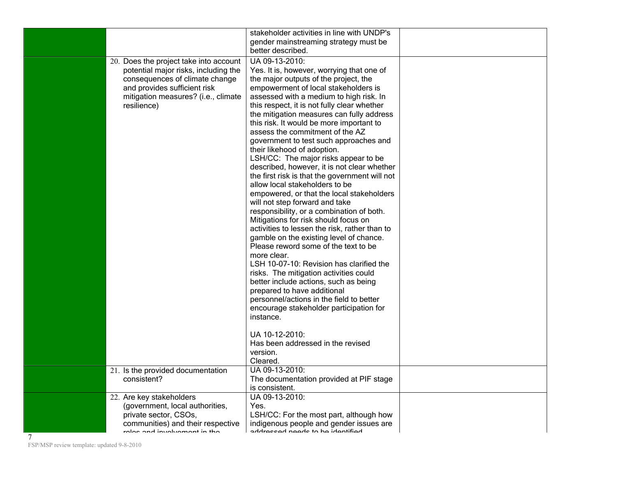|                                                                                                                                                                                                        | stakeholder activities in line with UNDP's<br>gender mainstreaming strategy must be<br>better described.                                                                                                                                                                                                                                                                                                                                                                                                                                                                                                                                                                                                                                                                                                                                                                                                                                                                                                                                                                                                                                                                                                                                                                           |  |
|--------------------------------------------------------------------------------------------------------------------------------------------------------------------------------------------------------|------------------------------------------------------------------------------------------------------------------------------------------------------------------------------------------------------------------------------------------------------------------------------------------------------------------------------------------------------------------------------------------------------------------------------------------------------------------------------------------------------------------------------------------------------------------------------------------------------------------------------------------------------------------------------------------------------------------------------------------------------------------------------------------------------------------------------------------------------------------------------------------------------------------------------------------------------------------------------------------------------------------------------------------------------------------------------------------------------------------------------------------------------------------------------------------------------------------------------------------------------------------------------------|--|
| 20. Does the project take into account<br>potential major risks, including the<br>consequences of climate change<br>and provides sufficient risk<br>mitigation measures? (i.e., climate<br>resilience) | UA 09-13-2010:<br>Yes. It is, however, worrying that one of<br>the major outputs of the project, the<br>empowerment of local stakeholders is<br>assessed with a medium to high risk. In<br>this respect, it is not fully clear whether<br>the mitigation measures can fully address<br>this risk. It would be more important to<br>assess the commitment of the AZ<br>government to test such approaches and<br>their likehood of adoption.<br>LSH/CC: The major risks appear to be<br>described, however, it is not clear whether<br>the first risk is that the government will not<br>allow local stakeholders to be<br>empowered, or that the local stakeholders<br>will not step forward and take<br>responsibility, or a combination of both.<br>Mitigations for risk should focus on<br>activities to lessen the risk, rather than to<br>gamble on the existing level of chance.<br>Please reword some of the text to be<br>more clear.<br>LSH 10-07-10: Revision has clarified the<br>risks. The mitigation activities could<br>better include actions, such as being<br>prepared to have additional<br>personnel/actions in the field to better<br>encourage stakeholder participation for<br>instance.<br>UA 10-12-2010:<br>Has been addressed in the revised<br>version. |  |
| 21. Is the provided documentation<br>consistent?                                                                                                                                                       | Cleared.<br>UA 09-13-2010:<br>The documentation provided at PIF stage<br>is consistent.                                                                                                                                                                                                                                                                                                                                                                                                                                                                                                                                                                                                                                                                                                                                                                                                                                                                                                                                                                                                                                                                                                                                                                                            |  |
| 22. Are key stakeholders<br>(government, local authorities,<br>private sector, CSOs,<br>communities) and their respective<br>rolog and involvament in the                                              | UA 09-13-2010:<br>Yes.<br>LSH/CC: For the most part, although how<br>indigenous people and gender issues are<br>addrocead naade ta ha idantifiad                                                                                                                                                                                                                                                                                                                                                                                                                                                                                                                                                                                                                                                                                                                                                                                                                                                                                                                                                                                                                                                                                                                                   |  |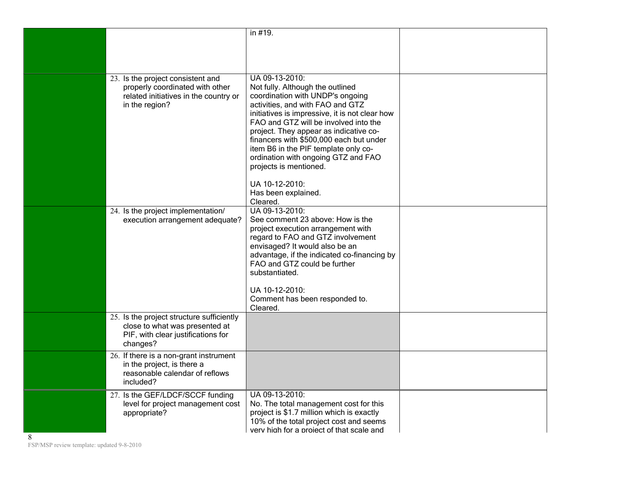|   |                                                                                                                                 | in #19.                                                                                                                                                                                                                                                                                                                                                                                                                                                                  |  |
|---|---------------------------------------------------------------------------------------------------------------------------------|--------------------------------------------------------------------------------------------------------------------------------------------------------------------------------------------------------------------------------------------------------------------------------------------------------------------------------------------------------------------------------------------------------------------------------------------------------------------------|--|
|   | 23. Is the project consistent and<br>properly coordinated with other<br>related initiatives in the country or<br>in the region? | UA 09-13-2010:<br>Not fully. Although the outlined<br>coordination with UNDP's ongoing<br>activities, and with FAO and GTZ<br>initiatives is impressive, it is not clear how<br>FAO and GTZ will be involved into the<br>project. They appear as indicative co-<br>financers with \$500,000 each but under<br>item B6 in the PIF template only co-<br>ordination with ongoing GTZ and FAO<br>projects is mentioned.<br>UA 10-12-2010:<br>Has been explained.<br>Cleared. |  |
|   | 24. Is the project implementation/<br>execution arrangement adequate?                                                           | UA 09-13-2010:<br>See comment 23 above: How is the<br>project execution arrangement with<br>regard to FAO and GTZ involvement<br>envisaged? It would also be an<br>advantage, if the indicated co-financing by<br>FAO and GTZ could be further<br>substantiated.<br>UA 10-12-2010:<br>Comment has been responded to.<br>Cleared.                                                                                                                                         |  |
|   | 25. Is the project structure sufficiently<br>close to what was presented at<br>PIF, with clear justifications for<br>changes?   |                                                                                                                                                                                                                                                                                                                                                                                                                                                                          |  |
|   | 26. If there is a non-grant instrument<br>in the project, is there a<br>reasonable calendar of reflows<br>included?             |                                                                                                                                                                                                                                                                                                                                                                                                                                                                          |  |
| 8 | 27. Is the GEF/LDCF/SCCF funding<br>level for project management cost<br>appropriate?                                           | UA 09-13-2010:<br>No. The total management cost for this<br>project is \$1.7 million which is exactly<br>10% of the total project cost and seems<br>very high for a project of that scale and                                                                                                                                                                                                                                                                            |  |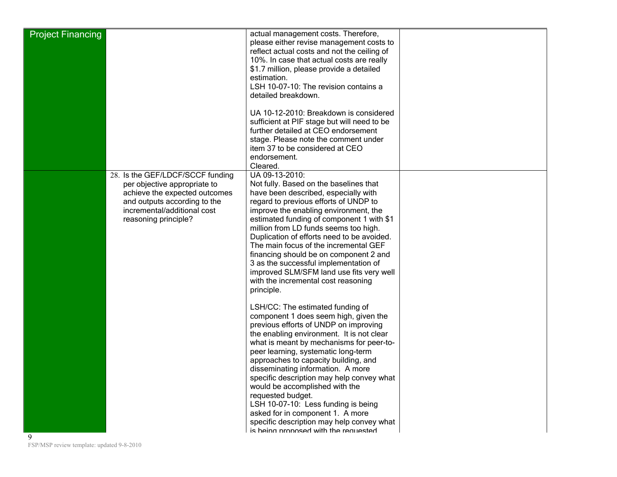| <b>Project Financing</b> |                                  | actual management costs. Therefore,         |  |
|--------------------------|----------------------------------|---------------------------------------------|--|
|                          |                                  | please either revise management costs to    |  |
|                          |                                  | reflect actual costs and not the ceiling of |  |
|                          |                                  |                                             |  |
|                          |                                  | 10%. In case that actual costs are really   |  |
|                          |                                  | \$1.7 million, please provide a detailed    |  |
|                          |                                  | estimation.                                 |  |
|                          |                                  | LSH 10-07-10: The revision contains a       |  |
|                          |                                  | detailed breakdown.                         |  |
|                          |                                  |                                             |  |
|                          |                                  | UA 10-12-2010: Breakdown is considered      |  |
|                          |                                  | sufficient at PIF stage but will need to be |  |
|                          |                                  | further detailed at CEO endorsement         |  |
|                          |                                  | stage. Please note the comment under        |  |
|                          |                                  | item 37 to be considered at CEO             |  |
|                          |                                  | endorsement.                                |  |
|                          |                                  | Cleared.                                    |  |
|                          | 28. Is the GEF/LDCF/SCCF funding | UA 09-13-2010:                              |  |
|                          | per objective appropriate to     | Not fully. Based on the baselines that      |  |
|                          | achieve the expected outcomes    | have been described, especially with        |  |
|                          | and outputs according to the     | regard to previous efforts of UNDP to       |  |
|                          | incremental/additional cost      | improve the enabling environment, the       |  |
|                          | reasoning principle?             | estimated funding of component 1 with \$1   |  |
|                          |                                  | million from LD funds seems too high.       |  |
|                          |                                  |                                             |  |
|                          |                                  | Duplication of efforts need to be avoided.  |  |
|                          |                                  | The main focus of the incremental GEF       |  |
|                          |                                  | financing should be on component 2 and      |  |
|                          |                                  | 3 as the successful implementation of       |  |
|                          |                                  | improved SLM/SFM land use fits very well    |  |
|                          |                                  | with the incremental cost reasoning         |  |
|                          |                                  | principle.                                  |  |
|                          |                                  |                                             |  |
|                          |                                  | LSH/CC: The estimated funding of            |  |
|                          |                                  | component 1 does seem high, given the       |  |
|                          |                                  | previous efforts of UNDP on improving       |  |
|                          |                                  | the enabling environment. It is not clear   |  |
|                          |                                  | what is meant by mechanisms for peer-to-    |  |
|                          |                                  | peer learning, systematic long-term         |  |
|                          |                                  | approaches to capacity building, and        |  |
|                          |                                  | disseminating information. A more           |  |
|                          |                                  | specific description may help convey what   |  |
|                          |                                  | would be accomplished with the              |  |
|                          |                                  | requested budget.                           |  |
|                          |                                  | LSH 10-07-10: Less funding is being         |  |
|                          |                                  | asked for in component 1. A more            |  |
|                          |                                  | specific description may help convey what   |  |
|                          |                                  | is being proposed with the requested        |  |
| 9                        |                                  |                                             |  |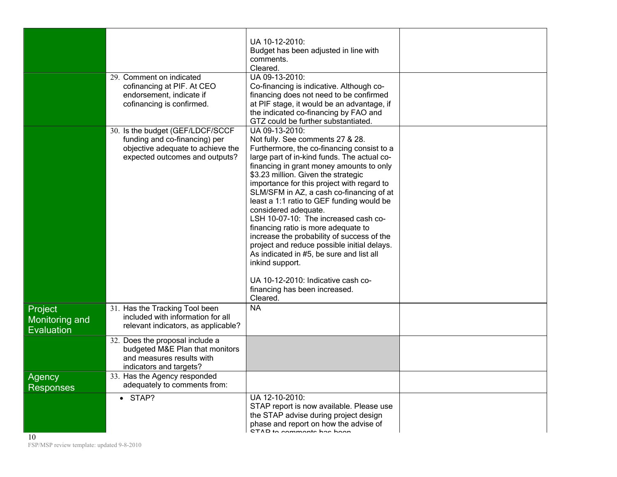|                                                | 29. Comment on indicated<br>cofinancing at PIF. At CEO<br>endorsement, indicate if<br>cofinancing is confirmed.                          | UA 10-12-2010:<br>Budget has been adjusted in line with<br>comments.<br>Cleared.<br>UA 09-13-2010:<br>Co-financing is indicative. Although co-<br>financing does not need to be confirmed<br>at PIF stage, it would be an advantage, if<br>the indicated co-financing by FAO and<br>GTZ could be further substantiated.                                                                                                                                                                                                                                                                                                                                                                                                         |  |
|------------------------------------------------|------------------------------------------------------------------------------------------------------------------------------------------|---------------------------------------------------------------------------------------------------------------------------------------------------------------------------------------------------------------------------------------------------------------------------------------------------------------------------------------------------------------------------------------------------------------------------------------------------------------------------------------------------------------------------------------------------------------------------------------------------------------------------------------------------------------------------------------------------------------------------------|--|
|                                                | 30. Is the budget (GEF/LDCF/SCCF<br>funding and co-financing) per<br>objective adequate to achieve the<br>expected outcomes and outputs? | UA 09-13-2010:<br>Not fully. See comments 27 & 28.<br>Furthermore, the co-financing consist to a<br>large part of in-kind funds. The actual co-<br>financing in grant money amounts to only<br>\$3.23 million. Given the strategic<br>importance for this project with regard to<br>SLM/SFM in AZ, a cash co-financing of at<br>least a 1:1 ratio to GEF funding would be<br>considered adequate.<br>LSH 10-07-10: The increased cash co-<br>financing ratio is more adequate to<br>increase the probability of success of the<br>project and reduce possible initial delays.<br>As indicated in #5, be sure and list all<br>inkind support.<br>UA 10-12-2010: Indicative cash co-<br>financing has been increased.<br>Cleared. |  |
| Project<br>Monitoring and<br><b>Evaluation</b> | 31. Has the Tracking Tool been<br>included with information for all<br>relevant indicators, as applicable?                               | <b>NA</b>                                                                                                                                                                                                                                                                                                                                                                                                                                                                                                                                                                                                                                                                                                                       |  |
|                                                | 32. Does the proposal include a<br>budgeted M&E Plan that monitors<br>and measures results with<br>indicators and targets?               |                                                                                                                                                                                                                                                                                                                                                                                                                                                                                                                                                                                                                                                                                                                                 |  |
| Agency<br><b>Responses</b>                     | 33. Has the Agency responded<br>adequately to comments from:                                                                             |                                                                                                                                                                                                                                                                                                                                                                                                                                                                                                                                                                                                                                                                                                                                 |  |
| $\overline{10}$                                | $\bullet$ STAP?                                                                                                                          | UA 12-10-2010:<br>STAP report is now available. Please use<br>the STAP advise during project design<br>phase and report on how the advise of<br>CTAD to commonto has been                                                                                                                                                                                                                                                                                                                                                                                                                                                                                                                                                       |  |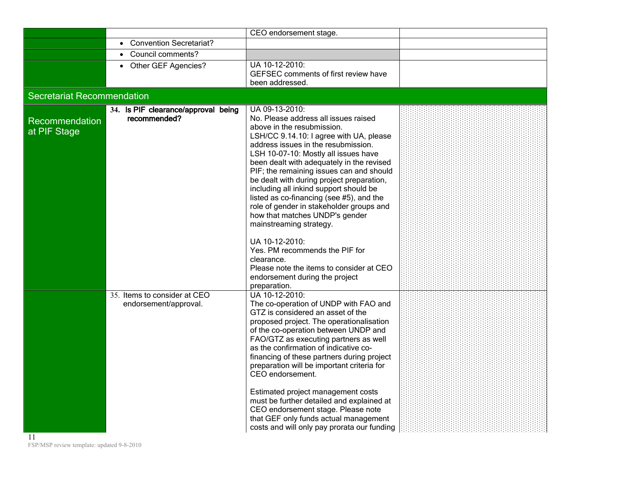|                                   |                                                       | CEO endorsement stage.                                                                                                                                                                                                                                                                                                                                                                                                                                                                                                                              |  |
|-----------------------------------|-------------------------------------------------------|-----------------------------------------------------------------------------------------------------------------------------------------------------------------------------------------------------------------------------------------------------------------------------------------------------------------------------------------------------------------------------------------------------------------------------------------------------------------------------------------------------------------------------------------------------|--|
|                                   | <b>Convention Secretariat?</b>                        |                                                                                                                                                                                                                                                                                                                                                                                                                                                                                                                                                     |  |
|                                   | Council comments?                                     |                                                                                                                                                                                                                                                                                                                                                                                                                                                                                                                                                     |  |
|                                   | Other GEF Agencies?                                   | UA 10-12-2010:<br>GEFSEC comments of first review have<br>been addressed.                                                                                                                                                                                                                                                                                                                                                                                                                                                                           |  |
| <b>Secretariat Recommendation</b> |                                                       |                                                                                                                                                                                                                                                                                                                                                                                                                                                                                                                                                     |  |
| Recommendation<br>at PIF Stage    | 34. Is PIF clearance/approval being<br>recommended?   | UA 09-13-2010:<br>No. Please address all issues raised<br>above in the resubmission.<br>LSH/CC 9.14.10: I agree with UA, please<br>address issues in the resubmission.<br>LSH 10-07-10: Mostly all issues have<br>been dealt with adequately in the revised<br>PIF; the remaining issues can and should<br>be dealt with during project preparation,<br>including all inkind support should be<br>listed as co-financing (see #5), and the<br>role of gender in stakeholder groups and<br>how that matches UNDP's gender<br>mainstreaming strategy. |  |
|                                   |                                                       | UA 10-12-2010:<br>Yes. PM recommends the PIF for<br>clearance.<br>Please note the items to consider at CEO<br>endorsement during the project<br>preparation.                                                                                                                                                                                                                                                                                                                                                                                        |  |
|                                   | 35. Items to consider at CEO<br>endorsement/approval. | UA 10-12-2010:<br>The co-operation of UNDP with FAO and<br>GTZ is considered an asset of the<br>proposed project. The operationalisation<br>of the co-operation between UNDP and<br>FAO/GTZ as executing partners as well<br>as the confirmation of indicative co-<br>financing of these partners during project<br>preparation will be important criteria for<br>CEO endorsement.<br>Estimated project management costs<br>must be further detailed and explained at                                                                               |  |
|                                   |                                                       | CEO endorsement stage. Please note<br>that GEF only funds actual management<br>costs and will only pay prorata our funding                                                                                                                                                                                                                                                                                                                                                                                                                          |  |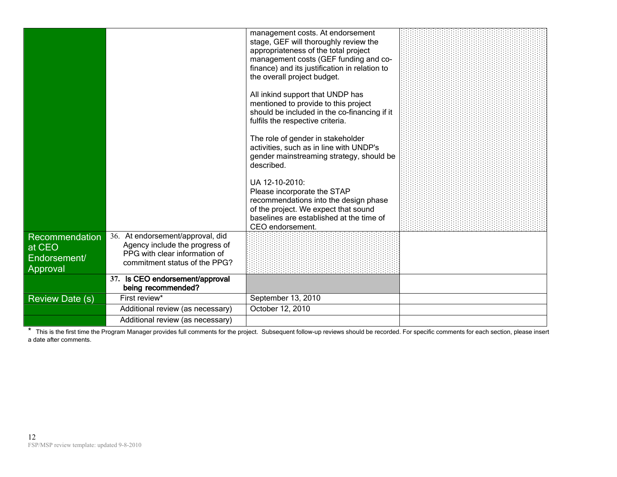|                                                      |                                                                                                                                      | management costs. At endorsement<br>stage, GEF will thoroughly review the<br>appropriateness of the total project<br>management costs (GEF funding and co-<br>finance) and its justification in relation to<br>the overall project budget. |  |
|------------------------------------------------------|--------------------------------------------------------------------------------------------------------------------------------------|--------------------------------------------------------------------------------------------------------------------------------------------------------------------------------------------------------------------------------------------|--|
|                                                      |                                                                                                                                      | All inkind support that UNDP has<br>mentioned to provide to this project<br>should be included in the co-financing if it<br>fulfils the respective criteria.                                                                               |  |
|                                                      |                                                                                                                                      | The role of gender in stakeholder<br>activities, such as in line with UNDP's<br>gender mainstreaming strategy, should be<br>described.                                                                                                     |  |
|                                                      |                                                                                                                                      | UA 12-10-2010:<br>Please incorporate the STAP<br>recommendations into the design phase<br>of the project. We expect that sound<br>baselines are established at the time of<br>CEO endorsement.                                             |  |
| Recommendation<br>at CEO<br>Endorsement/<br>Approval | 36. At endorsement/approval, did<br>Agency include the progress of<br>PPG with clear information of<br>commitment status of the PPG? |                                                                                                                                                                                                                                            |  |
|                                                      | 37. Is CEO endorsement/approval<br>being recommended?                                                                                |                                                                                                                                                                                                                                            |  |
| <b>Review Date (s)</b>                               | First review*                                                                                                                        | September 13, 2010                                                                                                                                                                                                                         |  |
|                                                      | Additional review (as necessary)                                                                                                     | October 12, 2010                                                                                                                                                                                                                           |  |
|                                                      | Additional review (as necessary)                                                                                                     |                                                                                                                                                                                                                                            |  |

\* This is the first time the Program Manager provides full comments for the project. Subsequent follow-up reviews should be recorded. For specific comments for each section, please insert a date after comments.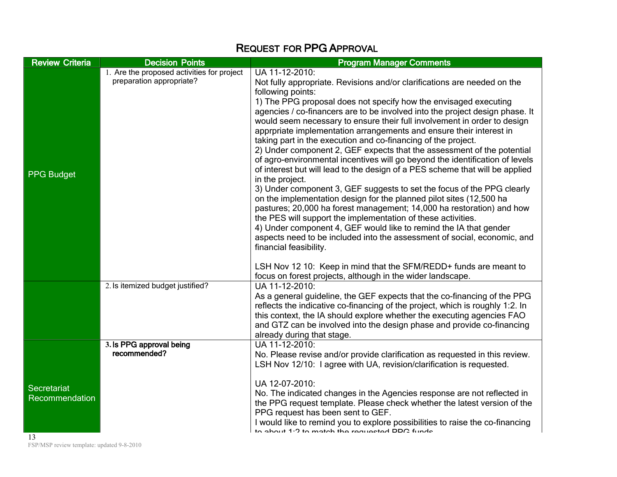## **REQUEST FOR PPG APPROVAL**

| <b>Review Criteria</b>               | <b>Decision Points</b>                                                 | <b>Program Manager Comments</b>                                                                                                                                                                                                                                                                                                                                                                                                                                                                                                                                                                                                                                                                                                                                                                                                                                                                                                                                                                                                                                                                                                                                                                                           |
|--------------------------------------|------------------------------------------------------------------------|---------------------------------------------------------------------------------------------------------------------------------------------------------------------------------------------------------------------------------------------------------------------------------------------------------------------------------------------------------------------------------------------------------------------------------------------------------------------------------------------------------------------------------------------------------------------------------------------------------------------------------------------------------------------------------------------------------------------------------------------------------------------------------------------------------------------------------------------------------------------------------------------------------------------------------------------------------------------------------------------------------------------------------------------------------------------------------------------------------------------------------------------------------------------------------------------------------------------------|
| <b>PPG Budget</b>                    | 1. Are the proposed activities for project<br>preparation appropriate? | UA 11-12-2010:<br>Not fully appropriate. Revisions and/or clarifications are needed on the<br>following points:<br>1) The PPG proposal does not specify how the envisaged executing<br>agencies / co-financers are to be involved into the project design phase. It<br>would seem necessary to ensure their full involvement in order to design<br>apprpriate implementation arrangements and ensure their interest in<br>taking part in the execution and co-financing of the project.<br>2) Under component 2, GEF expects that the assessment of the potential<br>of agro-environmental incentives will go beyond the identification of levels<br>of interest but will lead to the design of a PES scheme that will be applied<br>in the project.<br>3) Under component 3, GEF suggests to set the focus of the PPG clearly<br>on the implementation design for the planned pilot sites (12,500 ha<br>pastures; 20,000 ha forest management; 14,000 ha restoration) and how<br>the PES will support the implementation of these activities.<br>4) Under component 4, GEF would like to remind the IA that gender<br>aspects need to be included into the assessment of social, economic, and<br>financial feasibility. |
|                                      | 2. Is itemized budget justified?                                       | LSH Nov 12 10: Keep in mind that the SFM/REDD+ funds are meant to<br>focus on forest projects, although in the wider landscape.<br>UA 11-12-2010:<br>As a general guideline, the GEF expects that the co-financing of the PPG<br>reflects the indicative co-financing of the project, which is roughly 1:2. In<br>this context, the IA should explore whether the executing agencies FAO<br>and GTZ can be involved into the design phase and provide co-financing<br>already during that stage.                                                                                                                                                                                                                                                                                                                                                                                                                                                                                                                                                                                                                                                                                                                          |
| <b>Secretariat</b><br>Recommendation | 3. Is PPG approval being<br>recommended?                               | UA 11-12-2010:<br>No. Please revise and/or provide clarification as requested in this review.<br>LSH Nov 12/10: I agree with UA, revision/clarification is requested.<br>UA 12-07-2010:<br>No. The indicated changes in the Agencies response are not reflected in<br>the PPG request template. Please check whether the latest version of the<br>PPG request has been sent to GEF.<br>I would like to remind you to explore possibilities to raise the co-financing<br>to about 1.2 to match the requested DDC funds                                                                                                                                                                                                                                                                                                                                                                                                                                                                                                                                                                                                                                                                                                     |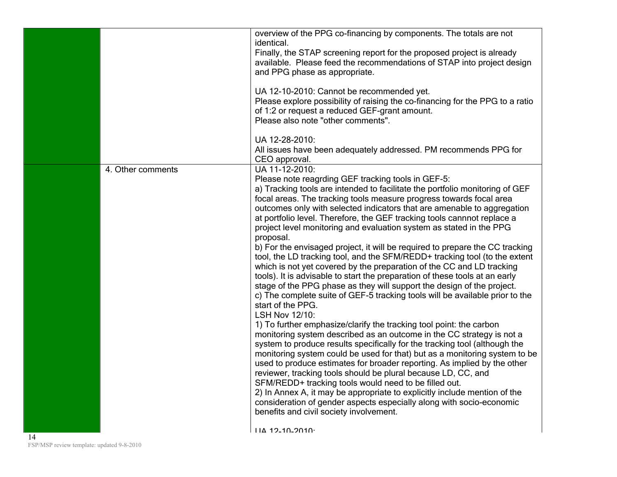|    |                   | overview of the PPG co-financing by components. The totals are not<br>identical.<br>Finally, the STAP screening report for the proposed project is already<br>available. Please feed the recommendations of STAP into project design                                                                                                                                                                                                                                                                                                                                                                                                                                                                                                                                                                                                                                                                                                                                                                                                                                                                                                                                                                                                                                                                                                                                                                                                                                                                                                                                                                                                                                                                           |
|----|-------------------|----------------------------------------------------------------------------------------------------------------------------------------------------------------------------------------------------------------------------------------------------------------------------------------------------------------------------------------------------------------------------------------------------------------------------------------------------------------------------------------------------------------------------------------------------------------------------------------------------------------------------------------------------------------------------------------------------------------------------------------------------------------------------------------------------------------------------------------------------------------------------------------------------------------------------------------------------------------------------------------------------------------------------------------------------------------------------------------------------------------------------------------------------------------------------------------------------------------------------------------------------------------------------------------------------------------------------------------------------------------------------------------------------------------------------------------------------------------------------------------------------------------------------------------------------------------------------------------------------------------------------------------------------------------------------------------------------------------|
|    |                   | and PPG phase as appropriate.<br>UA 12-10-2010: Cannot be recommended yet.<br>Please explore possibility of raising the co-financing for the PPG to a ratio                                                                                                                                                                                                                                                                                                                                                                                                                                                                                                                                                                                                                                                                                                                                                                                                                                                                                                                                                                                                                                                                                                                                                                                                                                                                                                                                                                                                                                                                                                                                                    |
|    |                   | of 1:2 or request a reduced GEF-grant amount.<br>Please also note "other comments".                                                                                                                                                                                                                                                                                                                                                                                                                                                                                                                                                                                                                                                                                                                                                                                                                                                                                                                                                                                                                                                                                                                                                                                                                                                                                                                                                                                                                                                                                                                                                                                                                            |
|    |                   | UA 12-28-2010:<br>All issues have been adequately addressed. PM recommends PPG for<br>CEO approval.                                                                                                                                                                                                                                                                                                                                                                                                                                                                                                                                                                                                                                                                                                                                                                                                                                                                                                                                                                                                                                                                                                                                                                                                                                                                                                                                                                                                                                                                                                                                                                                                            |
|    | 4. Other comments | UA 11-12-2010:<br>Please note reagrding GEF tracking tools in GEF-5:<br>a) Tracking tools are intended to facilitate the portfolio monitoring of GEF<br>focal areas. The tracking tools measure progress towards focal area<br>outcomes only with selected indicators that are amenable to aggregation<br>at portfolio level. Therefore, the GEF tracking tools cannnot replace a<br>project level monitoring and evaluation system as stated in the PPG<br>proposal.<br>b) For the envisaged project, it will be required to prepare the CC tracking<br>tool, the LD tracking tool, and the SFM/REDD+ tracking tool (to the extent<br>which is not yet covered by the preparation of the CC and LD tracking<br>tools). It is advisable to start the preparation of these tools at an early<br>stage of the PPG phase as they will support the design of the project.<br>c) The complete suite of GEF-5 tracking tools will be available prior to the<br>start of the PPG.<br>LSH Nov 12/10:<br>1) To further emphasize/clarify the tracking tool point: the carbon<br>monitoring system described as an outcome in the CC strategy is not a<br>system to produce results specifically for the tracking tool (although the<br>monitoring system could be used for that) but as a monitoring system to be<br>used to produce estimates for broader reporting. As implied by the other<br>reviewer, tracking tools should be plural because LD, CC, and<br>SFM/REDD+ tracking tools would need to be filled out.<br>2) In Annex A, it may be appropriate to explicitly include mention of the<br>consideration of gender aspects especially along with socio-economic<br>benefits and civil society involvement. |
| 14 |                   | $11A$ 12-10-2010 $\cdot$                                                                                                                                                                                                                                                                                                                                                                                                                                                                                                                                                                                                                                                                                                                                                                                                                                                                                                                                                                                                                                                                                                                                                                                                                                                                                                                                                                                                                                                                                                                                                                                                                                                                                       |